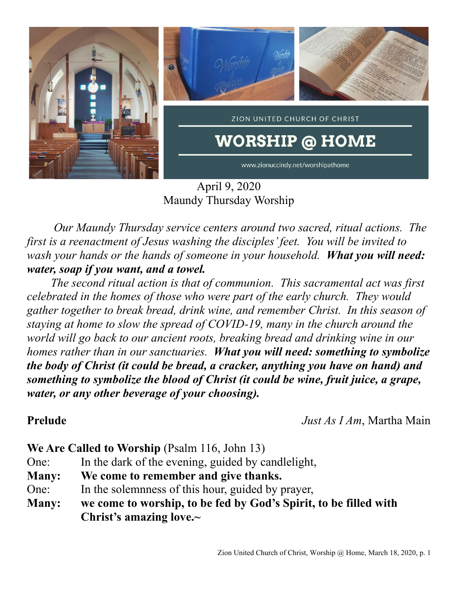

April 9, 2020 Maundy Thursday Worship

*Our Maundy Thursday service centers around two sacred, ritual actions. The first is a reenactment of Jesus washing the disciples' feet. You will be invited to wash your hands or the hands of someone in your household. What you will need: water, soap if you want, and a towel.* 

 *The second ritual action is that of communion. This sacramental act was first celebrated in the homes of those who were part of the early church. They would gather together to break bread, drink wine, and remember Christ. In this season of staying at home to slow the spread of COVID-19, many in the church around the world will go back to our ancient roots, breaking bread and drinking wine in our homes rather than in our sanctuaries. What you will need: something to symbolize the body of Christ (it could be bread, a cracker, anything you have on hand) and something to symbolize the blood of Christ (it could be wine, fruit juice, a grape, water, or any other beverage of your choosing).*

**Prelude** *Just As I Am*, Martha Main

**We Are Called to Worship** (Psalm 116, John 13)

- One: In the dark of the evening, guided by candlelight,
- **Many: We come to remember and give thanks.**
- One: In the solemnness of this hour, guided by prayer,
- **Many: we come to worship, to be fed by God's Spirit, to be filled with Christ's amazing love.~**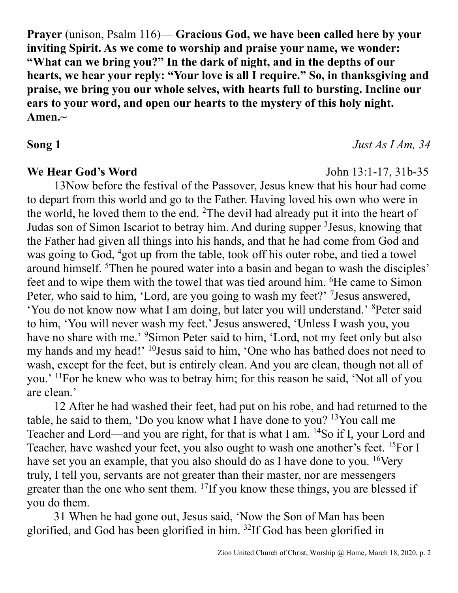**Prayer** (unison, Psalm 116)— **Gracious God, we have been called here by your inviting Spirit. As we come to worship and praise your name, we wonder: "What can we bring you?" In the dark of night, and in the depths of our hearts, we hear your reply: "Your love is all I require." So, in thanksgiving and praise, we bring you our whole selves, with hearts full to bursting. Incline our ears to your word, and open our hearts to the mystery of this holy night. Amen.~**

## **We Hear God's Word** John 13:1-17, 31b-35

13Now before the festival of the Passover, Jesus knew that his hour had come to depart from this world and go to the Father. Having loved his own who were in the world, he loved them to the end. <sup>2</sup>The devil had already put it into the heart of Judas son of Simon Iscariot to betray him. And during supper <sup>3</sup> Jesus, knowing that the Father had given all things into his hands, and that he had come from God and was going to God, <sup>4</sup>got up from the table, took off his outer robe, and tied a towel around himself. <sup>5</sup>Then he poured water into a basin and began to wash the disciples' feet and to wipe them with the towel that was tied around him. <sup>6</sup>He came to Simon Peter, who said to him, 'Lord, are you going to wash my feet?' <sup>7</sup> Jesus answered, 'You do not know now what I am doing, but later you will understand.' <sup>8</sup>Peter said to him, 'You will never wash my feet.' Jesus answered, 'Unless I wash you, you have no share with me.' <sup>9</sup>Simon Peter said to him, 'Lord, not my feet only but also my hands and my head!' <sup>10</sup>Jesus said to him, 'One who has bathed does not need to wash, except for the feet, but is entirely clean. And you are clean, though not all of you.' <sup>11</sup>For he knew who was to betray him; for this reason he said, 'Not all of you are clean.'

12 After he had washed their feet, had put on his robe, and had returned to the table, he said to them, 'Do you know what I have done to you?  $13$ You call me Teacher and Lord—and you are right, for that is what I am. <sup>14</sup>So if I, your Lord and Teacher, have washed your feet, you also ought to wash one another's feet. <sup>15</sup>For I have set you an example, that you also should do as I have done to you. <sup>16</sup>Very truly, I tell you, servants are not greater than their master, nor are messengers greater than the one who sent them. <sup>17</sup>If you know these things, you are blessed if you do them.

31 When he had gone out, Jesus said, 'Now the Son of Man has been glorified, and God has been glorified in him. <sup>32</sup>If God has been glorified in

## **Song 1** *Just As I Am, 34*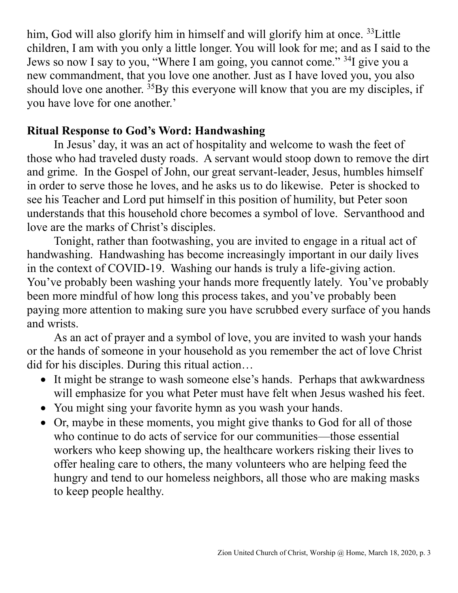him, God will also glorify him in himself and will glorify him at once. <sup>33</sup>Little children, I am with you only a little longer. You will look for me; and as I said to the Jews so now I say to you, "Where I am going, you cannot come." <sup>34</sup>I give you a new commandment, that you love one another. Just as I have loved you, you also should love one another.  ${}^{35}$ By this everyone will know that you are my disciples, if you have love for one another.'

## **Ritual Response to God's Word: Handwashing**

In Jesus' day, it was an act of hospitality and welcome to wash the feet of those who had traveled dusty roads. A servant would stoop down to remove the dirt and grime. In the Gospel of John, our great servant-leader, Jesus, humbles himself in order to serve those he loves, and he asks us to do likewise. Peter is shocked to see his Teacher and Lord put himself in this position of humility, but Peter soon understands that this household chore becomes a symbol of love. Servanthood and love are the marks of Christ's disciples.

Tonight, rather than footwashing, you are invited to engage in a ritual act of handwashing. Handwashing has become increasingly important in our daily lives in the context of COVID-19. Washing our hands is truly a life-giving action. You've probably been washing your hands more frequently lately. You've probably been more mindful of how long this process takes, and you've probably been paying more attention to making sure you have scrubbed every surface of you hands and wrists.

As an act of prayer and a symbol of love, you are invited to wash your hands or the hands of someone in your household as you remember the act of love Christ did for his disciples. During this ritual action…

- It might be strange to wash someone else's hands. Perhaps that awkwardness will emphasize for you what Peter must have felt when Jesus washed his feet.
- You might sing your favorite hymn as you wash your hands.
- Or, maybe in these moments, you might give thanks to God for all of those who continue to do acts of service for our communities—those essential workers who keep showing up, the healthcare workers risking their lives to offer healing care to others, the many volunteers who are helping feed the hungry and tend to our homeless neighbors, all those who are making masks to keep people healthy.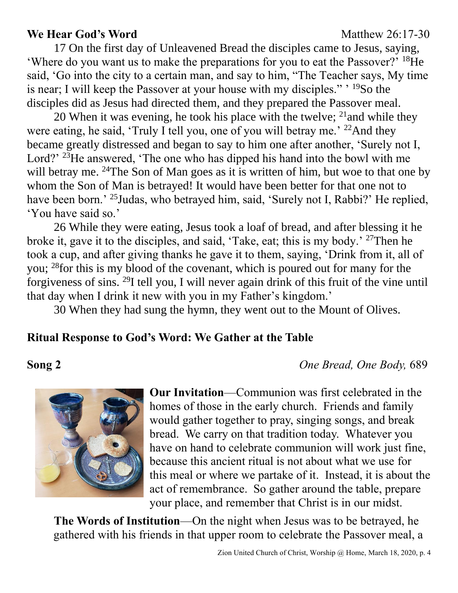### **We Hear God's Word** Matthew 26:17-30

17 On the first day of Unleavened Bread the disciples came to Jesus, saying, 'Where do you want us to make the preparations for you to eat the Passover?' <sup>18</sup>He said, 'Go into the city to a certain man, and say to him, "The Teacher says, My time is near; I will keep the Passover at your house with my disciples." <sup>19</sup>So the disciples did as Jesus had directed them, and they prepared the Passover meal.

20 When it was evening, he took his place with the twelve;  $^{21}$  and while they were eating, he said, 'Truly I tell you, one of you will betray me.'  $^{22}$ And they became greatly distressed and began to say to him one after another, 'Surely not I, Lord?' <sup>23</sup>He answered, 'The one who has dipped his hand into the bowl with me will betray me. <sup>24</sup>The Son of Man goes as it is written of him, but woe to that one by whom the Son of Man is betrayed! It would have been better for that one not to have been born.' <sup>25</sup>Judas, who betrayed him, said, 'Surely not I, Rabbi?' He replied, 'You have said so.'

26 While they were eating, Jesus took a loaf of bread, and after blessing it he broke it, gave it to the disciples, and said, 'Take, eat; this is my body.' <sup>27</sup>Then he took a cup, and after giving thanks he gave it to them, saying, 'Drink from it, all of you; <sup>28</sup>for this is my blood of the covenant, which is poured out for many for the forgiveness of sins. <sup>29</sup>I tell you, I will never again drink of this fruit of the vine until that day when I drink it new with you in my Father's kingdom.'

30 When they had sung the hymn, they went out to the Mount of Olives.

### **Ritual Response to God's Word: We Gather at the Table**

**Song 2** *One Bread, One Body,* 689



**Our Invitation**—Communion was first celebrated in the homes of those in the early church. Friends and family would gather together to pray, singing songs, and break bread. We carry on that tradition today. Whatever you have on hand to celebrate communion will work just fine, because this ancient ritual is not about what we use for this meal or where we partake of it. Instead, it is about the act of remembrance. So gather around the table, prepare your place, and remember that Christ is in our midst.

**The Words of Institution**—On the night when Jesus was to be betrayed, he gathered with his friends in that upper room to celebrate the Passover meal, a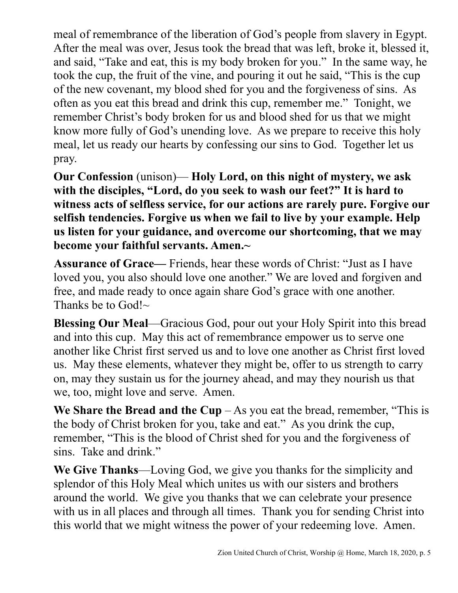meal of remembrance of the liberation of God's people from slavery in Egypt. After the meal was over, Jesus took the bread that was left, broke it, blessed it, and said, "Take and eat, this is my body broken for you." In the same way, he took the cup, the fruit of the vine, and pouring it out he said, "This is the cup of the new covenant, my blood shed for you and the forgiveness of sins. As often as you eat this bread and drink this cup, remember me." Tonight, we remember Christ's body broken for us and blood shed for us that we might know more fully of God's unending love. As we prepare to receive this holy meal, let us ready our hearts by confessing our sins to God. Together let us pray.

**Our Confession** (unison)— **Holy Lord, on this night of mystery, we ask with the disciples, "Lord, do you seek to wash our feet?" It is hard to witness acts of selfless service, for our actions are rarely pure. Forgive our selfish tendencies. Forgive us when we fail to live by your example. Help us listen for your guidance, and overcome our shortcoming, that we may become your faithful servants. Amen.~**

**Assurance of Grace—** Friends, hear these words of Christ: "Just as I have loved you, you also should love one another." We are loved and forgiven and free, and made ready to once again share God's grace with one another. Thanks be to God! $\sim$ 

**Blessing Our Meal**—Gracious God, pour out your Holy Spirit into this bread and into this cup. May this act of remembrance empower us to serve one another like Christ first served us and to love one another as Christ first loved us. May these elements, whatever they might be, offer to us strength to carry on, may they sustain us for the journey ahead, and may they nourish us that we, too, might love and serve. Amen.

**We Share the Bread and the Cup**  $-$  As you eat the bread, remember, "This is the body of Christ broken for you, take and eat." As you drink the cup, remember, "This is the blood of Christ shed for you and the forgiveness of sins. Take and drink."

**We Give Thanks**—Loving God, we give you thanks for the simplicity and splendor of this Holy Meal which unites us with our sisters and brothers around the world. We give you thanks that we can celebrate your presence with us in all places and through all times. Thank you for sending Christ into this world that we might witness the power of your redeeming love. Amen.